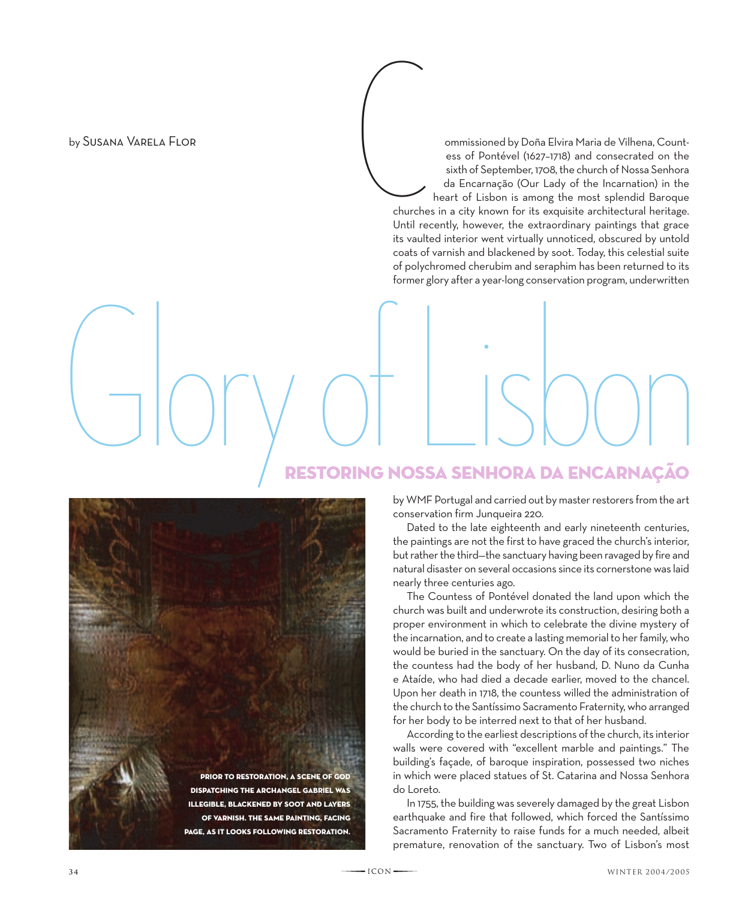## by Susana Varela Flor

ommissioned by Doña Elvira Maria de Vilhena, Countess of Pontével (1627–1718) and consecrated on the sixth of September, 1708, the church of Nossa Senhora da Encarnação (Our Lady of the Incarnation) in the heart of Lisbon is among the most splendid Baroque

churches in a city known for its exquisite architectural heritage. Until recently, however, the extraordinary paintings that grace its vaulted interior went virtually unnoticed, obscured by untold coats of varnish and blackened by soot. Today, this celestial suite of polychromed cherubim and seraphim has been returned to its former glory after a year-long conservation program, underwritten Churche

## Glory of Lisbon Restoring Nossa Senhora da Encarnação



by WMF Portugal and carried out by master restorers from the art conservation firm Junqueira 220.

Dated to the late eighteenth and early nineteenth centuries, the paintings are not the first to have graced the church's interior, but rather the third—the sanctuary having been ravaged by fire and natural disaster on several occasions since its cornerstone was laid nearly three centuries ago.

The Countess of Pontével donated the land upon which the church was built and underwrote its construction, desiring both a proper environment in which to celebrate the divine mystery of the incarnation, and to create a lasting memorial to her family, who would be buried in the sanctuary. On the day of its consecration, the countess had the body of her husband, D. Nuno da Cunha e Ataíde, who had died a decade earlier, moved to the chancel. Upon her death in 1718, the countess willed the administration of the church to the Santíssimo Sacramento Fraternity, who arranged for her body to be interred next to that of her husband.

According to the earliest descriptions of the church, its interior walls were covered with "excellent marble and paintings." The building's façade, of baroque inspiration, possessed two niches in which were placed statues of St. Catarina and Nossa Senhora do Loreto.

In 1755, the building was severely damaged by the great Lisbon earthquake and fire that followed, which forced the Santíssimo Sacramento Fraternity to raise funds for a much needed, albeit premature, renovation of the sanctuary. Two of Lisbon's most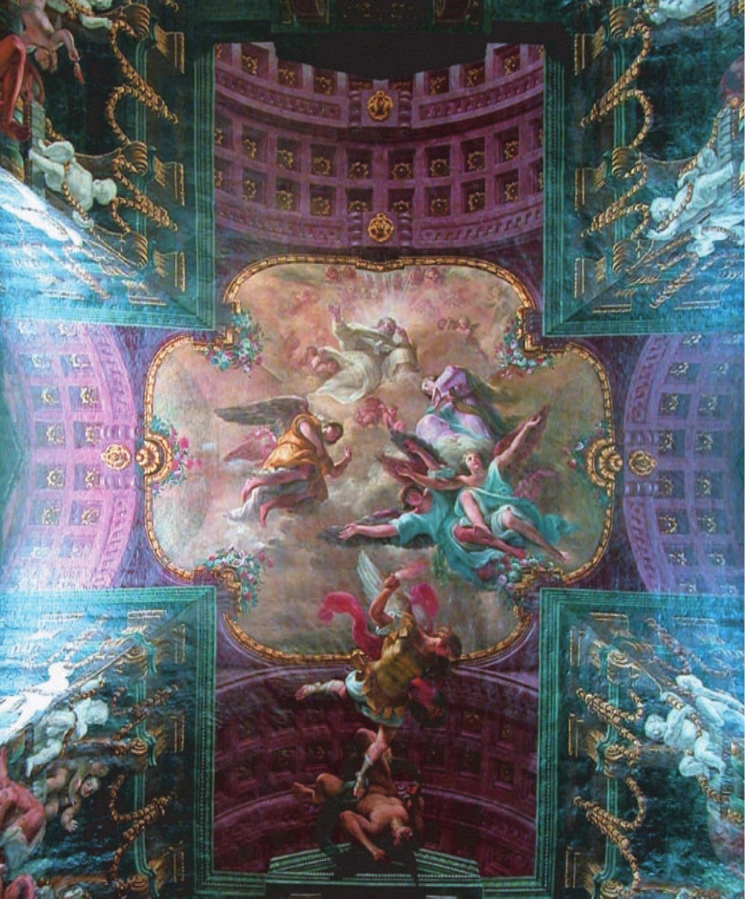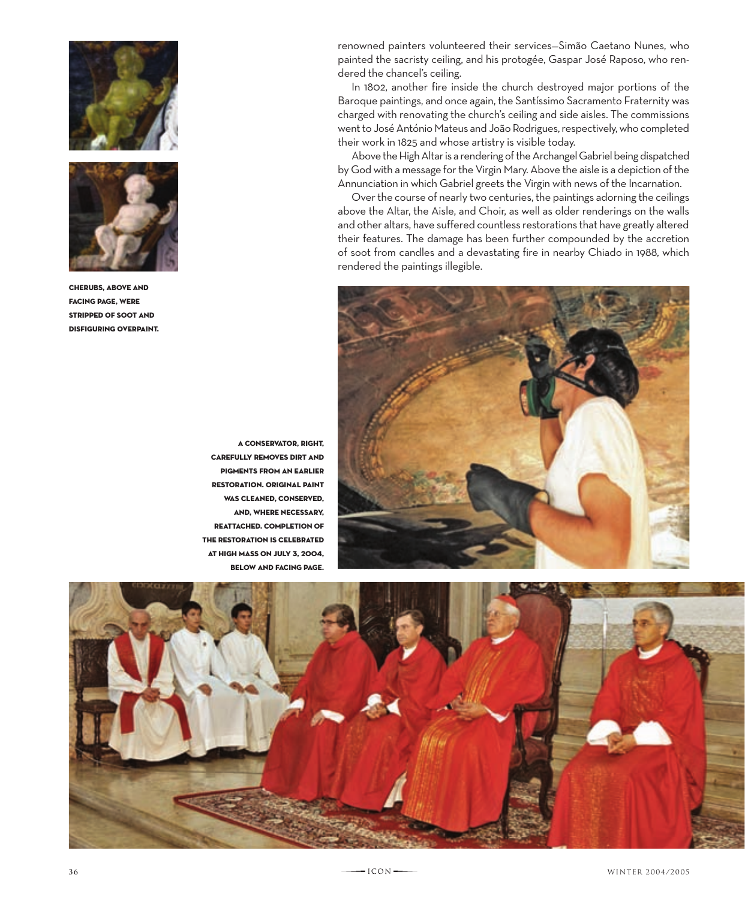



Cherubs, above and facing page, were stripped of soot and disfiguring overpaint.

renowned painters volunteered their services—Simão Caetano Nunes, who painted the sacristy ceiling, and his protogée, Gaspar José Raposo, who rendered the chancel's ceiling.

In 1802, another fire inside the church destroyed major portions of the Baroque paintings, and once again, the Santíssimo Sacramento Fraternity was charged with renovating the church's ceiling and side aisles. The commissions went to José António Mateus and João Rodrigues, respectively, who completed their work in 1825 and whose artistry is visible today.

Above the High Altar is a rendering of the Archangel Gabriel being dispatched by God with a message for the Virgin Mary. Above the aisle is a depiction of the Annunciation in which Gabriel greets the Virgin with news of the Incarnation.

Over the course of nearly two centuries, the paintings adorning the ceilings above the Altar, the Aisle, and Choir, as well as older renderings on the walls and other altars, have suffered countless restorations that have greatly altered their features. The damage has been further compounded by the accretion of soot from candles and a devastating fire in nearby Chiado in 1988, which rendered the paintings illegible.



A conservator, right, carefully removes dirt and pigments from an earlier restoration. Original paint was cleaned, conserved, and, where necessary, reattached. Completion of the restoration is celebrated at high mass on July 3, 2004, below and facing page.